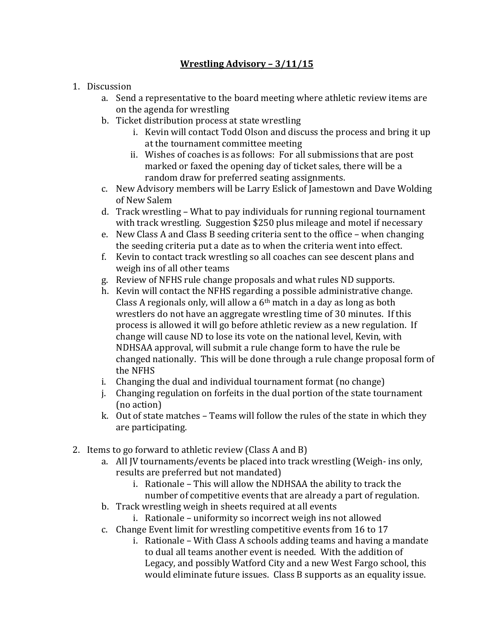## **Wrestling Advisory - 3/11/15**

- 1. Discussion
	- a. Send a representative to the board meeting where athletic review items are on the agenda for wrestling
	- b. Ticket distribution process at state wrestling
		- i. Kevin will contact Todd Olson and discuss the process and bring it up at the tournament committee meeting
		- ii. Wishes of coaches is as follows: For all submissions that are post marked or faxed the opening day of ticket sales, there will be a random draw for preferred seating assignments.
	- c. New Advisory members will be Larry Eslick of Jamestown and Dave Wolding of New Salem
	- d. Track wrestling What to pay individuals for running regional tournament with track wrestling. Suggestion \$250 plus mileage and motel if necessary
	- e. New Class A and Class B seeding criteria sent to the office when changing the seeding criteria put a date as to when the criteria went into effect.
	- f. Kevin to contact track wrestling so all coaches can see descent plans and weigh ins of all other teams
	- g. Review of NFHS rule change proposals and what rules ND supports.
	- h. Kevin will contact the NFHS regarding a possible administrative change. Class A regionals only, will allow a  $6<sup>th</sup>$  match in a day as long as both wrestlers do not have an aggregate wrestling time of 30 minutes. If this process is allowed it will go before athletic review as a new regulation. If change will cause ND to lose its vote on the national level, Kevin, with NDHSAA approval, will submit a rule change form to have the rule be changed nationally. This will be done through a rule change proposal form of the NFHS
	- i. Changing the dual and individual tournament format (no change)
	- j. Changing regulation on forfeits in the dual portion of the state tournament (no action)
	- k. Out of state matches  $-$  Teams will follow the rules of the state in which they are participating.
- 2. Items to go forward to athletic review (Class A and B)
	- a. All JV tournaments/events be placed into track wrestling (Weigh- ins only, results are preferred but not mandated)
		- i. Rationale This will allow the NDHSAA the ability to track the number of competitive events that are already a part of regulation.
	- b. Track wrestling weigh in sheets required at all events
		- i. Rationale uniformity so incorrect weigh ins not allowed
	- c. Change Event limit for wrestling competitive events from 16 to 17
		- i. Rationale With Class A schools adding teams and having a mandate to dual all teams another event is needed. With the addition of Legacy, and possibly Watford City and a new West Fargo school, this would eliminate future issues. Class B supports as an equality issue.